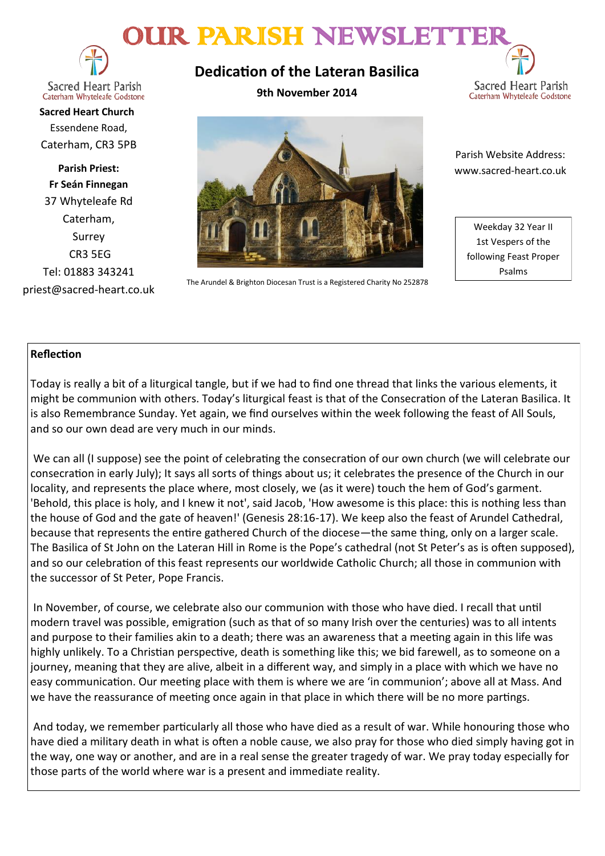# OUR PARISH NEWSLETTE



**Sacred Heart Parish** Caterham Whyteleafe Godstone

**Sacred Heart Church** Essendene Road, Caterham, CR3 5PB

**Parish Priest: Fr Seán Finnegan** 37 Whyteleafe Rd Caterham, Surrey CR3 5EG Tel: 01883 343241 priest@sacred-heart.co.uk **Dedication of the Lateran Basilica**

**9th November 2014**





The Arundel & Brighton Diocesan Trust is a Registered Charity No 252878

 Parish Website Address: www.sacred-heart.co.uk

Weekday 32 Year II 1st Vespers of the following Feast Proper Psalms

## **Reflection**

Today is really a bit of a liturgical tangle, but if we had to find one thread that links the various elements, it might be communion with others. Today's liturgical feast is that of the Consecration of the Lateran Basilica. It is also Remembrance Sunday. Yet again, we find ourselves within the week following the feast of All Souls, and so our own dead are very much in our minds.

We can all (I suppose) see the point of celebrating the consecration of our own church (we will celebrate our consecration in early July); It says all sorts of things about us; it celebrates the presence of the Church in our locality, and represents the place where, most closely, we (as it were) touch the hem of God's garment. 'Behold, this place is holy, and I knew it not', said Jacob, 'How awesome is this place: this is nothing less than the house of God and the gate of heaven!' (Genesis 28:16-17). We keep also the feast of Arundel Cathedral, because that represents the entire gathered Church of the diocese—the same thing, only on a larger scale. The Basilica of St John on the Lateran Hill in Rome is the Pope's cathedral (not St Peter's as is often supposed), and so our celebration of this feast represents our worldwide Catholic Church; all those in communion with the successor of St Peter, Pope Francis.

In November, of course, we celebrate also our communion with those who have died. I recall that until modern travel was possible, emigration (such as that of so many Irish over the centuries) was to all intents and purpose to their families akin to a death; there was an awareness that a meeting again in this life was highly unlikely. To a Christian perspective, death is something like this; we bid farewell, as to someone on a journey, meaning that they are alive, albeit in a different way, and simply in a place with which we have no easy communication. Our meeting place with them is where we are 'in communion'; above all at Mass. And we have the reassurance of meeting once again in that place in which there will be no more partings.

And today, we remember particularly all those who have died as a result of war. While honouring those who have died a military death in what is often a noble cause, we also pray for those who died simply having got in the way, one way or another, and are in a real sense the greater tragedy of war. We pray today especially for those parts of the world where war is a present and immediate reality.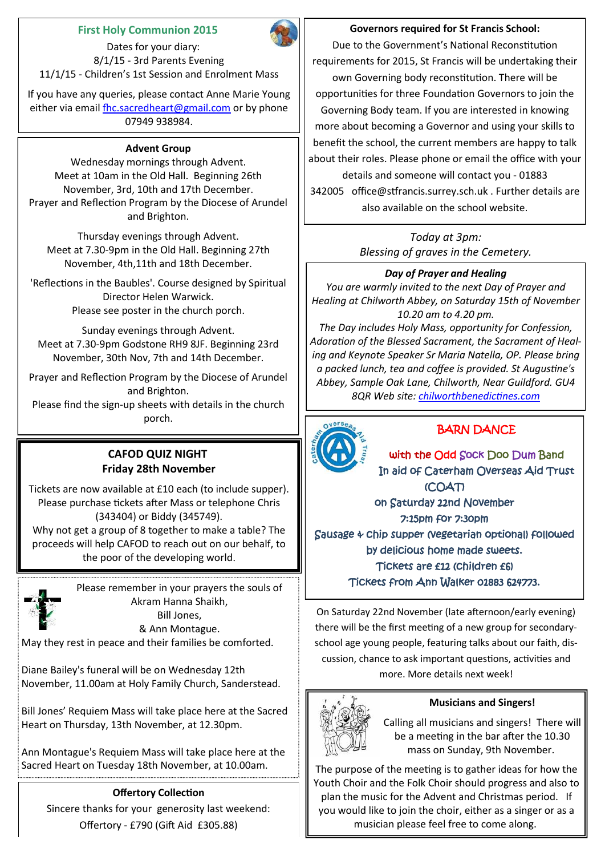## **First Holy Communion 2015**

 Dates for your diary: 8/1/15 - 3rd Parents Evening 11/1/15 - Children's 1st Session and Enrolment Mass

If you have any queries, please contact Anne Marie Young either via email [fhc.sacredheart@gmail.com](mailto:fhc.sacredheart@gmail.com) or by phone 07949 938984.

#### **Advent Group**

Wednesday mornings through Advent. Meet at 10am in the Old Hall. Beginning 26th November, 3rd, 10th and 17th December. Prayer and Reflection Program by the Diocese of Arundel and Brighton.

Thursday evenings through Advent. Meet at 7.30-9pm in the Old Hall. Beginning 27th November, 4th,11th and 18th December.

'Reflections in the Baubles'. Course designed by Spiritual Director Helen Warwick. Please see poster in the church porch.

Sunday evenings through Advent. Meet at 7.30-9pm Godstone RH9 8JF. Beginning 23rd November, 30th Nov, 7th and 14th December.

Prayer and Reflection Program by the Diocese of Arundel and Brighton.

Please find the sign-up sheets with details in the church porch.

## **CAFOD QUIZ NIGHT Friday 28th November**

Tickets are now available at £10 each (to include supper). Please purchase tickets after Mass or telephone Chris (343404) or Biddy (345749).

Why not get a group of 8 together to make a table? The proceeds will help CAFOD to reach out on our behalf, to the poor of the developing world.



Please remember in your prayers the souls of Akram Hanna Shaikh, Bill Jones, & Ann Montague.

May they rest in peace and their families be comforted.

Diane Bailey's funeral will be on Wednesday 12th November, 11.00am at Holy Family Church, Sanderstead.

Bill Jones' Requiem Mass will take place here at the Sacred Heart on Thursday, 13th November, at 12.30pm.

Ann Montague's Requiem Mass will take place here at the Sacred Heart on Tuesday 18th November, at 10.00am.

# **Offertory Collection**

Sincere thanks for your generosity last weekend: Offertory - £790 (Gift Aid £305.88)

## **Governors required for St Francis School:**

Due to the Government's National Reconstitution requirements for 2015, St Francis will be undertaking their own Governing body reconstitution. There will be opportunities for three Foundation Governors to join the Governing Body team. If you are interested in knowing more about becoming a Governor and using your skills to benefit the school, the current members are happy to talk about their roles. Please phone or email the office with your details and someone will contact you - 01883 342005 office@stfrancis.surrey.sch.uk . Further details are also available on the school website.

> *Today at 3pm: Blessing of graves in the Cemetery.*

# *Day of Prayer and Healing*

*You are warmly invited to the next Day of Prayer and Healing at Chilworth Abbey, on Saturday 15th of November 10.20 am to 4.20 pm.* 

*The Day includes Holy Mass, opportunity for Confession, Adoration of the Blessed Sacrament, the Sacrament of Healing and Keynote Speaker Sr Maria Natella, OP. Please bring a packed lunch, tea and coffee is provided. St Augustine's Abbey, Sample Oak Lane, Chilworth, Near Guildford. GU4 8QR Web site: [chilworthbenedictines.com](http://chilworthbenedictines.com)*



# BARN DANCE

with the Odd Sock Doo Dum Band In aid of Caterham Overseas Aid Trust (COAT) on Saturday 22nd November 7:15pm for 7:30pm Sausage & chip supper (vegetarian optional) followed by delicious home made sweets. Tickets are £12 (children £6) Tickets from Ann Walker 01883 624773.

On Saturday 22nd November (late afternoon/early evening) there will be the first meeting of a new group for secondaryschool age young people, featuring talks about our faith, discussion, chance to ask important questions, activities and more. More details next week!



## **Musicians and Singers!**

Calling all musicians and singers! There will be a meeting in the bar after the 10.30 mass on Sunday, 9th November.

The purpose of the meeting is to gather ideas for how the Youth Choir and the Folk Choir should progress and also to plan the music for the Advent and Christmas period. If you would like to join the choir, either as a singer or as a musician please feel free to come along.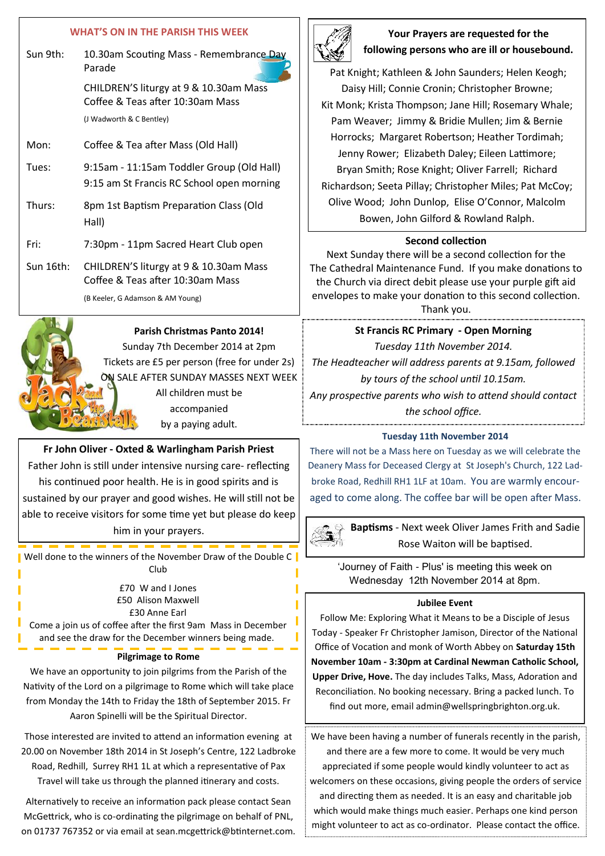#### **WHAT'S ON IN THE PARISH THIS WEEK**

- Sun 9th: 10.30am Scouting Mass Remembrance Day Parade CHILDREN'S liturgy at 9 & 10.30am Mass Coffee & Teas after 10:30am Mass (J Wadworth & C Bentley) Mon: Coffee & Tea after Mass (Old Hall) Tues: 9:15am - 11:15am Toddler Group (Old Hall) 9:15 am St Francis RC School open morning
- Thurs: 8pm 1st Baptism Preparation Class (Old Hall)
- Fri: 7:30pm 11pm Sacred Heart Club open
- Sun 16th: CHILDREN'S liturgy at 9 & 10.30am Mass Coffee & Teas after 10:30am Mass (B Keeler, G Adamson & AM Young)



**Parish Christmas Panto 2014!** Sunday 7th December 2014 at 2pm Tickets are £5 per person (free for under 2s) ON SALE AFTER SUNDAY MASSES NEXT WEEK All children must be accompanied

by a paying adult.

#### **Fr John Oliver - Oxted & Warlingham Parish Priest**

Father John is still under intensive nursing care- reflecting his continued poor health. He is in good spirits and is sustained by our prayer and good wishes. He will still not be able to receive visitors for some time yet but please do keep him in your prayers.

**N** Well done to the winners of the November Draw of the Double C Club

> £70 W and I Jones £50 Alison Maxwell £30 Anne Earl

Come a join us of coffee after the first 9am Mass in December and see the draw for the December winners being made.

#### **Pilgrimage to Rome**

We have an opportunity to join pilgrims from the Parish of the Nativity of the Lord on a pilgrimage to Rome which will take place from Monday the 14th to Friday the 18th of September 2015. Fr Aaron Spinelli will be the Spiritual Director.

Those interested are invited to attend an information evening at 20.00 on November 18th 2014 in St Joseph's Centre, 122 Ladbroke Road, Redhill, Surrey RH1 1L at which a representative of Pax Travel will take us through the planned itinerary and costs.

Alternatively to receive an information pack please contact Sean McGettrick, who is co-ordinating the pilgrimage on behalf of PNL, on 01737 767352 or via email at sean.mcgettrick@btinternet.com.



## **Your Prayers are requested for the following persons who are ill or housebound.**

Pat Knight; Kathleen & John Saunders; Helen Keogh; Daisy Hill; Connie Cronin; Christopher Browne; Kit Monk; Krista Thompson; Jane Hill; Rosemary Whale; Pam Weaver; Jimmy & Bridie Mullen; Jim & Bernie Horrocks; Margaret Robertson; Heather Tordimah; Jenny Rower; Elizabeth Daley; Eileen Lattimore; Bryan Smith; Rose Knight; Oliver Farrell; Richard Richardson; Seeta Pillay; Christopher Miles; Pat McCoy; Olive Wood; John Dunlop, Elise O'Connor, Malcolm Bowen, John Gilford & Rowland Ralph.

#### **Second collection**

Next Sunday there will be a second collection for the The Cathedral Maintenance Fund. If you make donations to the Church via direct debit please use your purple gift aid envelopes to make your donation to this second collection.

Thank you.

## **St Francis RC Primary - Open Morning** *Tuesday 11th November 2014.*

*The Headteacher will address parents at 9.15am, followed by tours of the school until 10.15am. Any prospective parents who wish to attend should contact* 

*the school office.*

#### **Tuesday 11th November 2014**

There will not be a Mass here on Tuesday as we will celebrate the Deanery Mass for Deceased Clergy at St Joseph's Church, 122 Ladbroke Road, Redhill RH1 1LF at 10am. You are warmly encouraged to come along. The coffee bar will be open after Mass.



**Baptisms** - Next week Oliver James Frith and Sadie Rose Waiton will be baptised.

'Journey of Faith - Plus' is meeting this week on Wednesday 12th November 2014 at 8pm.

#### **Jubilee Event**

Follow Me: Exploring What it Means to be a Disciple of Jesus Today - Speaker Fr Christopher Jamison, Director of the National Office of Vocation and monk of Worth Abbey on **Saturday 15th November 10am - 3:30pm at Cardinal Newman Catholic School, Upper Drive, Hove.** The day includes Talks, Mass, Adoration and Reconciliation. No booking necessary. Bring a packed lunch. To find out more, email admin@wellspringbrighton.org.uk.

We have been having a number of funerals recently in the parish, and there are a few more to come. It would be very much appreciated if some people would kindly volunteer to act as welcomers on these occasions, giving people the orders of service and directing them as needed. It is an easy and charitable job which would make things much easier. Perhaps one kind person might volunteer to act as co-ordinator. Please contact the office.